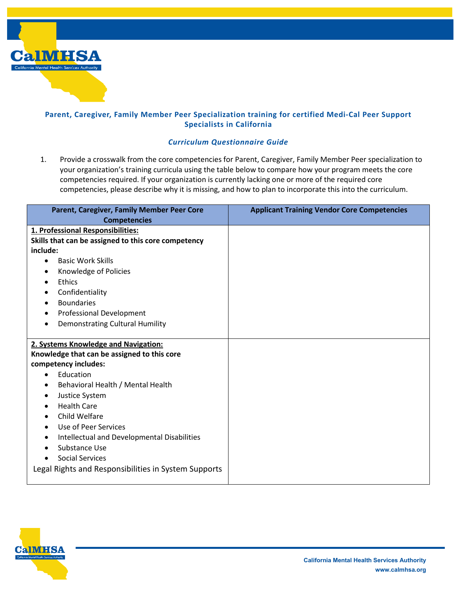

## **Parent, Caregiver, Family Member Peer Specialization training for certified Medi-Cal Peer Support Specialists in California**

## *Curriculum Questionnaire Guide*

1. Provide a crosswalk from the core competencies for Parent, Caregiver, Family Member Peer specialization to your organization's training curricula using the table below to compare how your program meets the core competencies required. If your organization is currently lacking one or more of the required core competencies, please describe why it is missing, and how to plan to incorporate this into the curriculum.

| Parent, Caregiver, Family Member Peer Core               | <b>Applicant Training Vendor Core Competencies</b> |
|----------------------------------------------------------|----------------------------------------------------|
| <b>Competencies</b>                                      |                                                    |
| 1. Professional Responsibilities:                        |                                                    |
| Skills that can be assigned to this core competency      |                                                    |
| include:                                                 |                                                    |
| <b>Basic Work Skills</b><br>$\bullet$                    |                                                    |
| Knowledge of Policies<br>$\bullet$                       |                                                    |
| Ethics<br>$\bullet$                                      |                                                    |
| Confidentiality<br>$\bullet$                             |                                                    |
| <b>Boundaries</b><br>$\bullet$                           |                                                    |
| <b>Professional Development</b><br>$\bullet$             |                                                    |
| <b>Demonstrating Cultural Humility</b><br>$\bullet$      |                                                    |
|                                                          |                                                    |
| 2. Systems Knowledge and Navigation:                     |                                                    |
| Knowledge that can be assigned to this core              |                                                    |
| competency includes:                                     |                                                    |
| Education<br>$\bullet$                                   |                                                    |
| Behavioral Health / Mental Health<br>٠                   |                                                    |
| Justice System<br>$\bullet$                              |                                                    |
| <b>Health Care</b><br>$\bullet$                          |                                                    |
| Child Welfare<br>$\bullet$                               |                                                    |
| Use of Peer Services<br>$\bullet$                        |                                                    |
| Intellectual and Developmental Disabilities<br>$\bullet$ |                                                    |
| Substance Use<br>$\bullet$                               |                                                    |
| <b>Social Services</b>                                   |                                                    |
| Legal Rights and Responsibilities in System Supports     |                                                    |
|                                                          |                                                    |

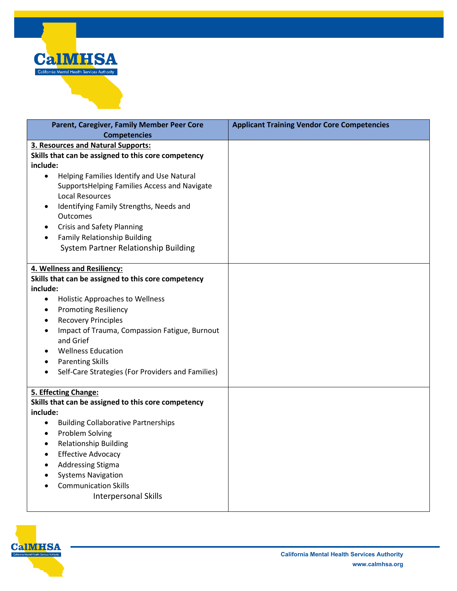

| Parent, Caregiver, Family Member Peer Core                                  | <b>Applicant Training Vendor Core Competencies</b> |
|-----------------------------------------------------------------------------|----------------------------------------------------|
| <b>Competencies</b>                                                         |                                                    |
| 3. Resources and Natural Supports:                                          |                                                    |
| Skills that can be assigned to this core competency                         |                                                    |
| include:                                                                    |                                                    |
| Helping Families Identify and Use Natural<br>$\bullet$                      |                                                    |
| SupportsHelping Families Access and Navigate                                |                                                    |
| <b>Local Resources</b>                                                      |                                                    |
| Identifying Family Strengths, Needs and                                     |                                                    |
| Outcomes                                                                    |                                                    |
| <b>Crisis and Safety Planning</b>                                           |                                                    |
| <b>Family Relationship Building</b>                                         |                                                    |
| System Partner Relationship Building                                        |                                                    |
| 4. Wellness and Resiliency:                                                 |                                                    |
| Skills that can be assigned to this core competency                         |                                                    |
| include:                                                                    |                                                    |
| <b>Holistic Approaches to Wellness</b><br>$\bullet$                         |                                                    |
| <b>Promoting Resiliency</b><br>$\bullet$                                    |                                                    |
| <b>Recovery Principles</b><br>$\bullet$                                     |                                                    |
| Impact of Trauma, Compassion Fatigue, Burnout<br>$\bullet$<br>and Grief     |                                                    |
| <b>Wellness Education</b><br>$\bullet$                                      |                                                    |
| <b>Parenting Skills</b><br>$\bullet$                                        |                                                    |
| Self-Care Strategies (For Providers and Families)<br>$\bullet$              |                                                    |
|                                                                             |                                                    |
| 5. Effecting Change:<br>Skills that can be assigned to this core competency |                                                    |
| include:                                                                    |                                                    |
| <b>Building Collaborative Partnerships</b><br>$\bullet$                     |                                                    |
| Problem Solving<br>$\bullet$                                                |                                                    |
| <b>Relationship Building</b><br>$\bullet$                                   |                                                    |
| <b>Effective Advocacy</b><br>$\bullet$                                      |                                                    |
| <b>Addressing Stigma</b><br>$\bullet$                                       |                                                    |
| <b>Systems Navigation</b><br>$\bullet$                                      |                                                    |
| <b>Communication Skills</b><br>$\bullet$                                    |                                                    |
| <b>Interpersonal Skills</b>                                                 |                                                    |
|                                                                             |                                                    |